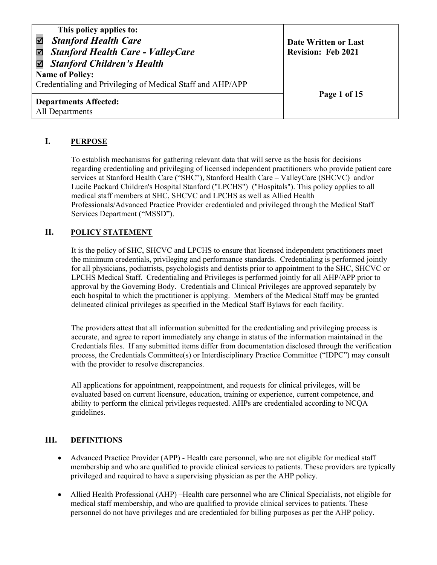| This policy applies to:<br><b>Stanford Health Care</b><br><b>Stanford Health Care - ValleyCare</b><br>M<br><b>Stanford Children's Health</b><br>☑ | Date Written or Last<br><b>Revision: Feb 2021</b> |
|---------------------------------------------------------------------------------------------------------------------------------------------------|---------------------------------------------------|
| <b>Name of Policy:</b><br>Credentialing and Privileging of Medical Staff and AHP/APP                                                              |                                                   |
| <b>Departments Affected:</b><br>All Departments                                                                                                   | Page 1 of 15                                      |

# **I. PURPOSE**

To establish mechanisms for gathering relevant data that will serve as the basis for decisions regarding credentialing and privileging of licensed independent practitioners who provide patient care services at Stanford Health Care ("SHC"), Stanford Health Care – ValleyCare (SHCVC) and/or Lucile Packard Children's Hospital Stanford ("LPCHS") ("Hospitals"). This policy applies to all medical staff members at SHC, SHCVC and LPCHS as well as Allied Health Professionals/Advanced Practice Provider credentialed and privileged through the Medical Staff Services Department ("MSSD").

# **II. POLICY STATEMENT**

It is the policy of SHC, SHCVC and LPCHS to ensure that licensed independent practitioners meet the minimum credentials, privileging and performance standards. Credentialing is performed jointly for all physicians, podiatrists, psychologists and dentists prior to appointment to the SHC, SHCVC or LPCHS Medical Staff. Credentialing and Privileges is performed jointly for all AHP/APP prior to approval by the Governing Body. Credentials and Clinical Privileges are approved separately by each hospital to which the practitioner is applying. Members of the Medical Staff may be granted delineated clinical privileges as specified in the Medical Staff Bylaws for each facility.

The providers attest that all information submitted for the credentialing and privileging process is accurate, and agree to report immediately any change in status of the information maintained in the Credentials files. If any submitted items differ from documentation disclosed through the verification process, the Credentials Committee(s) or Interdisciplinary Practice Committee ("IDPC") may consult with the provider to resolve discrepancies.

All applications for appointment, reappointment, and requests for clinical privileges, will be evaluated based on current licensure, education, training or experience, current competence, and ability to perform the clinical privileges requested. AHPs are credentialed according to NCQA guidelines.

# **III. DEFINITIONS**

- Advanced Practice Provider (APP) Health care personnel, who are not eligible for medical staff membership and who are qualified to provide clinical services to patients. These providers are typically privileged and required to have a supervising physician as per the AHP policy.
- Allied Health Professional (AHP) –Health care personnel who are Clinical Specialists, not eligible for medical staff membership, and who are qualified to provide clinical services to patients. These personnel do not have privileges and are credentialed for billing purposes as per the AHP policy.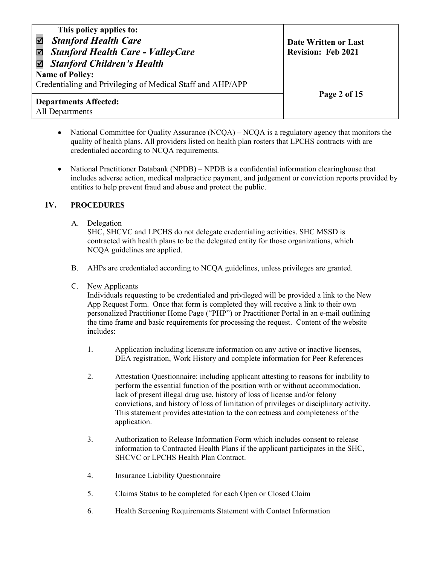| This policy applies to:<br><b>Stanford Health Care</b><br><b>Stanford Health Care - ValleyCare</b><br>☑<br><b>Stanford Children's Health</b> | Date Written or Last<br><b>Revision: Feb 2021</b> |
|----------------------------------------------------------------------------------------------------------------------------------------------|---------------------------------------------------|
| <b>Name of Policy:</b><br>Credentialing and Privileging of Medical Staff and AHP/APP                                                         |                                                   |
| <b>Departments Affected:</b><br>All Departments                                                                                              | Page 2 of 15                                      |

- National Committee for Quality Assurance  $(NCQA)$   $NCQA$  is a regulatory agency that monitors the quality of health plans. All providers listed on health plan rosters that LPCHS contracts with are credentialed according to NCQA requirements.
- National Practitioner Databank (NPDB) NPDB is a confidential information clearinghouse that includes adverse action, medical malpractice payment, and judgement or conviction reports provided by entities to help prevent fraud and abuse and protect the public.

# **IV. PROCEDURES**

## A. Delegation

SHC, SHCVC and LPCHS do not delegate credentialing activities. SHC MSSD is contracted with health plans to be the delegated entity for those organizations, which NCQA guidelines are applied.

- B. AHPs are credentialed according to NCQA guidelines, unless privileges are granted.
- C. New Applicants

Individuals requesting to be credentialed and privileged will be provided a link to the New App Request Form. Once that form is completed they will receive a link to their own personalized Practitioner Home Page ("PHP") or Practitioner Portal in an e-mail outlining the time frame and basic requirements for processing the request. Content of the website includes:

- 1. Application including licensure information on any active or inactive licenses, DEA registration, Work History and complete information for Peer References
- 2. Attestation Questionnaire: including applicant attesting to reasons for inability to perform the essential function of the position with or without accommodation, lack of present illegal drug use, history of loss of license and/or felony convictions, and history of loss of limitation of privileges or disciplinary activity. This statement provides attestation to the correctness and completeness of the application.
- 3. Authorization to Release Information Form which includes consent to release information to Contracted Health Plans if the applicant participates in the SHC, SHCVC or LPCHS Health Plan Contract.
- 4. Insurance Liability Questionnaire
- 5. Claims Status to be completed for each Open or Closed Claim
- 6. Health Screening Requirements Statement with Contact Information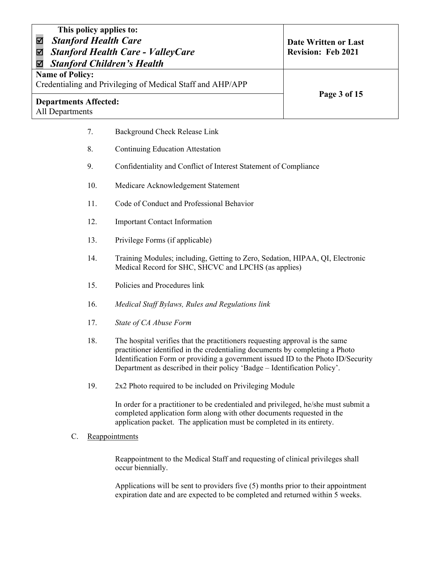| This policy applies to:<br><b>Stanford Health Care</b><br><b>Stanford Health Care - ValleyCare</b><br><b>Stanford Children's Health</b> | Date Written or Last<br><b>Revision: Feb 2021</b> |
|-----------------------------------------------------------------------------------------------------------------------------------------|---------------------------------------------------|
| <b>Name of Policy:</b><br>Credentialing and Privileging of Medical Staff and AHP/APP                                                    |                                                   |
| <b>Departments Affected:</b><br>All Departments                                                                                         | Page 3 of 15                                      |

- 7. Background Check Release Link
- 8. Continuing Education Attestation
- 9. Confidentiality and Conflict of Interest Statement of Compliance
- 10. Medicare Acknowledgement Statement
- 11. Code of Conduct and Professional Behavior
- 12. Important Contact Information
- 13. Privilege Forms (if applicable)
- 14. Training Modules; including, Getting to Zero, Sedation, HIPAA, QI, Electronic Medical Record for SHC, SHCVC and LPCHS (as applies)
- 15. Policies and Procedures link
- 16. *Medical Staff Bylaws, Rules and Regulations link*
- 17. *State of CA Abuse Form*
- 18. The hospital verifies that the practitioners requesting approval is the same practitioner identified in the credentialing documents by completing a Photo Identification Form or providing a government issued ID to the Photo ID/Security Department as described in their policy 'Badge – Identification Policy'.
- 19. 2x2 Photo required to be included on Privileging Module

In order for a practitioner to be credentialed and privileged, he/she must submit a completed application form along with other documents requested in the application packet. The application must be completed in its entirety.

C. Reappointments

Reappointment to the Medical Staff and requesting of clinical privileges shall occur biennially.

Applications will be sent to providers five (5) months prior to their appointment expiration date and are expected to be completed and returned within 5 weeks.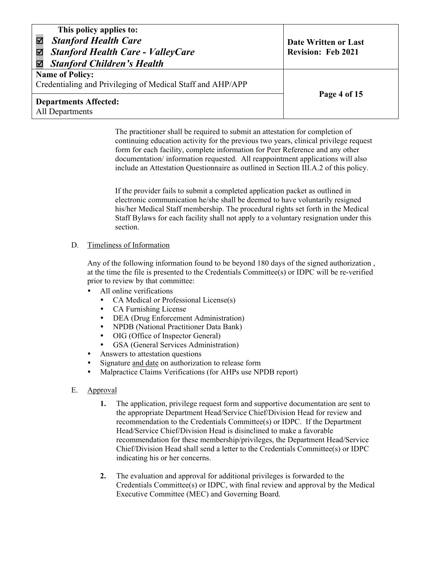| This policy applies to:<br><b>Stanford Health Care</b><br><b>Stanford Health Care - ValleyCare</b><br>⊻<br><b>Stanford Children's Health</b> | Date Written or Last<br><b>Revision: Feb 2021</b> |
|----------------------------------------------------------------------------------------------------------------------------------------------|---------------------------------------------------|
| <b>Name of Policy:</b><br>Credentialing and Privileging of Medical Staff and AHP/APP                                                         |                                                   |
| <b>Departments Affected:</b><br>All Departments                                                                                              | Page 4 of 15                                      |

The practitioner shall be required to submit an attestation for completion of continuing education activity for the previous two years, clinical privilege request form for each facility, complete information for Peer Reference and any other documentation/ information requested. All reappointment applications will also include an Attestation Questionnaire as outlined in Section III.A.2 of this policy.

If the provider fails to submit a completed application packet as outlined in electronic communication he/she shall be deemed to have voluntarily resigned his/her Medical Staff membership. The procedural rights set forth in the Medical Staff Bylaws for each facility shall not apply to a voluntary resignation under this section.

#### D. Timeliness of Information

Any of the following information found to be beyond 180 days of the signed authorization , at the time the file is presented to the Credentials Committee(s) or IDPC will be re-verified prior to review by that committee:

- All online verifications
	- CA Medical or Professional License(s)
	- CA Furnishing License
	- DEA (Drug Enforcement Administration)
	- NPDB (National Practitioner Data Bank)
	- OIG (Office of Inspector General)
	- GSA (General Services Administration)
- Answers to attestation questions
- Signature and date on authorization to release form
- Malpractice Claims Verifications (for AHPs use NPDB report)
- E. Approval
	- **1.** The application, privilege request form and supportive documentation are sent to the appropriate Department Head/Service Chief/Division Head for review and recommendation to the Credentials Committee(s) or IDPC. If the Department Head/Service Chief/Division Head is disinclined to make a favorable recommendation for these membership/privileges, the Department Head/Service Chief/Division Head shall send a letter to the Credentials Committee(s) or IDPC indicating his or her concerns.
	- **2.** The evaluation and approval for additional privileges is forwarded to the Credentials Committee(s) or IDPC, with final review and approval by the Medical Executive Committee (MEC) and Governing Board.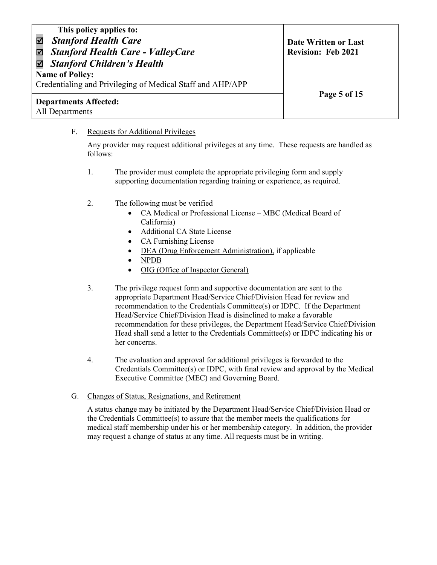| This policy applies to:<br><b>Stanford Health Care</b><br><b>Stanford Health Care - ValleyCare</b><br>☑<br><b>Stanford Children's Health</b> | Date Written or Last<br><b>Revision: Feb 2021</b> |
|----------------------------------------------------------------------------------------------------------------------------------------------|---------------------------------------------------|
| <b>Name of Policy:</b><br>Credentialing and Privileging of Medical Staff and AHP/APP                                                         |                                                   |
| <b>Departments Affected:</b><br>All Departments                                                                                              | Page 5 of 15                                      |

## F. Requests for Additional Privileges

Any provider may request additional privileges at any time. These requests are handled as follows:

- 1. The provider must complete the appropriate privileging form and supply supporting documentation regarding training or experience, as required.
- 2. The following must be verified
	- CA Medical or Professional License MBC (Medical Board of California)
	- Additional CA State License
	- CA Furnishing License
	- DEA (Drug Enforcement Administration), if applicable
	- NPDB
	- OIG (Office of Inspector General)
- 3. The privilege request form and supportive documentation are sent to the appropriate Department Head/Service Chief/Division Head for review and recommendation to the Credentials Committee(s) or IDPC. If the Department Head/Service Chief/Division Head is disinclined to make a favorable recommendation for these privileges, the Department Head/Service Chief/Division Head shall send a letter to the Credentials Committee(s) or IDPC indicating his or her concerns.
- 4. The evaluation and approval for additional privileges is forwarded to the Credentials Committee(s) or IDPC, with final review and approval by the Medical Executive Committee (MEC) and Governing Board.
- G. Changes of Status, Resignations, and Retirement

A status change may be initiated by the Department Head/Service Chief/Division Head or the Credentials Committee(s) to assure that the member meets the qualifications for medical staff membership under his or her membership category. In addition, the provider may request a change of status at any time. All requests must be in writing.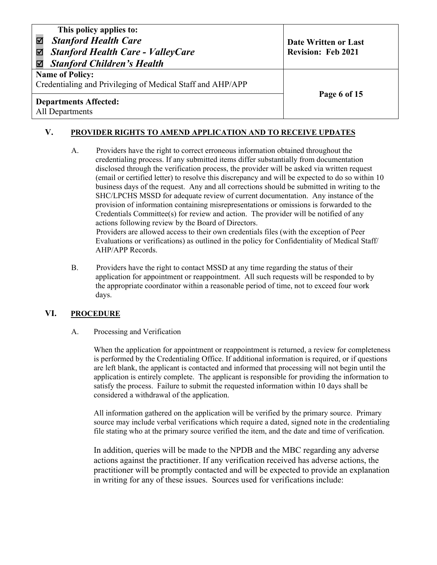Credentialing and Privileging of Medical Staff and AHP/APP

# **Page 6 of 15** Departments Affected: All Departments

# **V. PROVIDER RIGHTS TO AMEND APPLICATION AND TO RECEIVE UPDATES**

- A. Providers have the right to correct erroneous information obtained throughout the credentialing process. If any submitted items differ substantially from documentation disclosed through the verification process, the provider will be asked via written request (email or certified letter) to resolve this discrepancy and will be expected to do so within 10 business days of the request. Any and all corrections should be submitted in writing to the SHC/LPCHS MSSD for adequate review of current documentation. Any instance of the provision of information containing misrepresentations or omissions is forwarded to the Credentials Committee(s) for review and action. The provider will be notified of any actions following review by the Board of Directors. Providers are allowed access to their own credentials files (with the exception of Peer Evaluations or verifications) as outlined in the policy for Confidentiality of Medical Staff/ AHP/APP Records.
- B. Providers have the right to contact MSSD at any time regarding the status of their application for appointment or reappointment. All such requests will be responded to by the appropriate coordinator within a reasonable period of time, not to exceed four work days.

## **VI. PROCEDURE**

#### A. Processing and Verification

When the application for appointment or reappointment is returned, a review for completeness is performed by the Credentialing Office. If additional information is required, or if questions are left blank, the applicant is contacted and informed that processing will not begin until the application is entirely complete. The applicant is responsible for providing the information to satisfy the process. Failure to submit the requested information within 10 days shall be considered a withdrawal of the application.

All information gathered on the application will be verified by the primary source. Primary source may include verbal verifications which require a dated, signed note in the credentialing file stating who at the primary source verified the item, and the date and time of verification.

In addition, queries will be made to the NPDB and the MBC regarding any adverse actions against the practitioner. If any verification received has adverse actions, the practitioner will be promptly contacted and will be expected to provide an explanation in writing for any of these issues. Sources used for verifications include: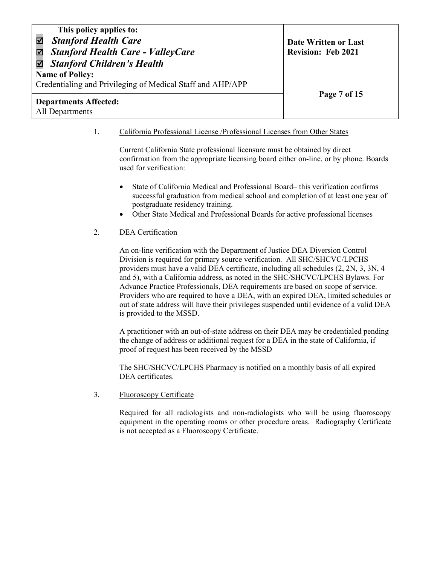| This policy applies to:<br><b>Stanford Health Care</b><br><b>Stanford Health Care - ValleyCare</b><br>K<br><b>Stanford Children's Health</b> | Date Written or Last<br><b>Revision: Feb 2021</b> |
|----------------------------------------------------------------------------------------------------------------------------------------------|---------------------------------------------------|
| <b>Name of Policy:</b><br>Credentialing and Privileging of Medical Staff and AHP/APP                                                         |                                                   |
| <b>Departments Affected:</b><br>All Departments                                                                                              | Page 7 of 15                                      |

1. California Professional License /Professional Licenses from Other States

Current California State professional licensure must be obtained by direct confirmation from the appropriate licensing board either on-line, or by phone. Boards used for verification:

- State of California Medical and Professional Board– this verification confirms successful graduation from medical school and completion of at least one year of postgraduate residency training.
- Other State Medical and Professional Boards for active professional licenses

#### 2. DEA Certification

An on-line verification with the Department of Justice DEA Diversion Control Division is required for primary source verification. All SHC/SHCVC/LPCHS providers must have a valid DEA certificate, including all schedules (2, 2N, 3, 3N, 4 and 5), with a California address, as noted in the SHC/SHCVC/LPCHS Bylaws. For Advance Practice Professionals, DEA requirements are based on scope of service. Providers who are required to have a DEA, with an expired DEA, limited schedules or out of state address will have their privileges suspended until evidence of a valid DEA is provided to the MSSD.

A practitioner with an out-of-state address on their DEA may be credentialed pending the change of address or additional request for a DEA in the state of California, if proof of request has been received by the MSSD

The SHC/SHCVC/LPCHS Pharmacy is notified on a monthly basis of all expired DEA certificates.

#### 3. Fluoroscopy Certificate

Required for all radiologists and non-radiologists who will be using fluoroscopy equipment in the operating rooms or other procedure areas. Radiography Certificate is not accepted as a Fluoroscopy Certificate.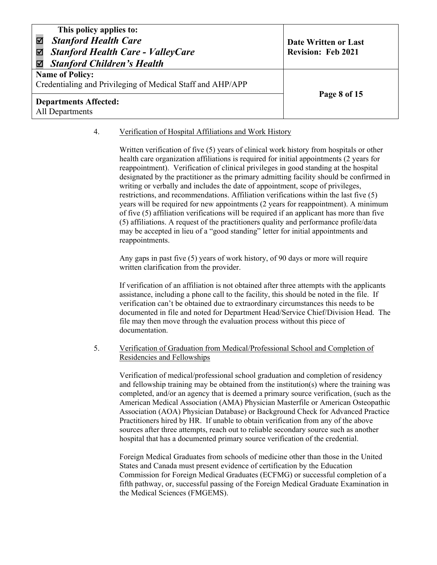| This policy applies to:<br><b>Stanford Health Care</b><br><b>Stanford Health Care - ValleyCare</b><br>☑<br><b>Stanford Children's Health</b><br>☑ | Date Written or Last<br><b>Revision: Feb 2021</b> |
|---------------------------------------------------------------------------------------------------------------------------------------------------|---------------------------------------------------|
| <b>Name of Policy:</b><br>Credentialing and Privileging of Medical Staff and AHP/APP                                                              |                                                   |
| <b>Departments Affected:</b><br>All Departments                                                                                                   | Page 8 of 15                                      |

#### 4. Verification of Hospital Affiliations and Work History

Written verification of five (5) years of clinical work history from hospitals or other health care organization affiliations is required for initial appointments (2 years for reappointment). Verification of clinical privileges in good standing at the hospital designated by the practitioner as the primary admitting facility should be confirmed in writing or verbally and includes the date of appointment, scope of privileges, restrictions, and recommendations. Affiliation verifications within the last five (5) years will be required for new appointments (2 years for reappointment). A minimum of five (5) affiliation verifications will be required if an applicant has more than five (5) affiliations. A request of the practitioners quality and performance profile/data may be accepted in lieu of a "good standing" letter for initial appointments and reappointments.

Any gaps in past five (5) years of work history, of 90 days or more will require written clarification from the provider.

If verification of an affiliation is not obtained after three attempts with the applicants assistance, including a phone call to the facility, this should be noted in the file. If verification can't be obtained due to extraordinary circumstances this needs to be documented in file and noted for Department Head/Service Chief/Division Head. The file may then move through the evaluation process without this piece of documentation.

#### 5. Verification of Graduation from Medical/Professional School and Completion of Residencies and Fellowships

Verification of medical/professional school graduation and completion of residency and fellowship training may be obtained from the institution(s) where the training was completed, and/or an agency that is deemed a primary source verification, (such as the American Medical Association (AMA) Physician Masterfile or American Osteopathic Association (AOA) Physician Database) or Background Check for Advanced Practice Practitioners hired by HR. If unable to obtain verification from any of the above sources after three attempts, reach out to reliable secondary source such as another hospital that has a documented primary source verification of the credential.

Foreign Medical Graduates from schools of medicine other than those in the United States and Canada must present evidence of certification by the Education Commission for Foreign Medical Graduates (ECFMG) or successful completion of a fifth pathway, or, successful passing of the Foreign Medical Graduate Examination in the Medical Sciences (FMGEMS).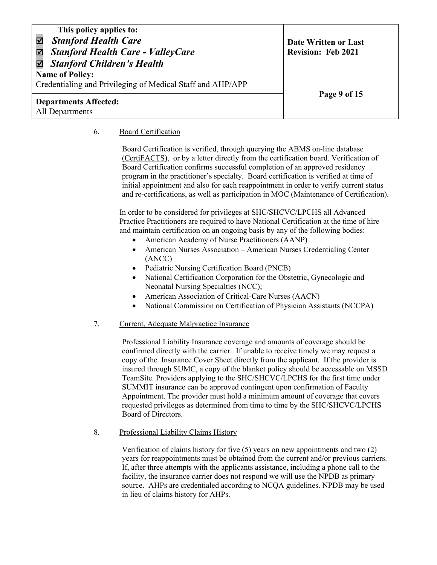| This policy applies to:<br><b>Stanford Health Care</b><br>V<br><b>Stanford Health Care - ValleyCare</b><br>☑<br><b>Stanford Children's Health</b><br>☑ | Date Written or Last<br><b>Revision: Feb 2021</b> |
|--------------------------------------------------------------------------------------------------------------------------------------------------------|---------------------------------------------------|
| <b>Name of Policy:</b><br>Credentialing and Privileging of Medical Staff and AHP/APP                                                                   |                                                   |
| <b>Departments Affected:</b><br>All Departments                                                                                                        | Page 9 of 15                                      |

### 6. Board Certification

Board Certification is verified, through querying the ABMS on-line database (CertiFACTS), or by a letter directly from the certification board. Verification of Board Certification confirms successful completion of an approved residency program in the practitioner's specialty. Board certification is verified at time of initial appointment and also for each reappointment in order to verify current status and re-certifications, as well as participation in MOC (Maintenance of Certification).

In order to be considered for privileges at SHC/SHCVC/LPCHS all Advanced Practice Practitioners are required to have National Certification at the time of hire and maintain certification on an ongoing basis by any of the following bodies:

- American Academy of Nurse Practitioners (AANP)
- American Nurses Association American Nurses Credentialing Center (ANCC)
- Pediatric Nursing Certification Board (PNCB)
- National Certification Corporation for the Obstetric, Gynecologic and Neonatal Nursing Specialties (NCC);
- American Association of Critical-Care Nurses (AACN)
- National Commission on Certification of Physician Assistants (NCCPA)

#### 7. Current, Adequate Malpractice Insurance

Professional Liability Insurance coverage and amounts of coverage should be confirmed directly with the carrier. If unable to receive timely we may request a copy of the Insurance Cover Sheet directly from the applicant. If the provider is insured through SUMC, a copy of the blanket policy should be accessable on MSSD TeamSite. Providers applying to the SHC/SHCVC/LPCHS for the first time under SUMMIT insurance can be approved contingent upon confirmation of Faculty Appointment. The provider must hold a minimum amount of coverage that covers requested privileges as determined from time to time by the SHC/SHCVC/LPCHS Board of Directors.

8. Professional Liability Claims History

Verification of claims history for five (5) years on new appointments and two (2) years for reappointments must be obtained from the current and/or previous carriers. If, after three attempts with the applicants assistance, including a phone call to the facility, the insurance carrier does not respond we will use the NPDB as primary source. AHPs are credentialed according to NCQA guidelines. NPDB may be used in lieu of claims history for AHPs.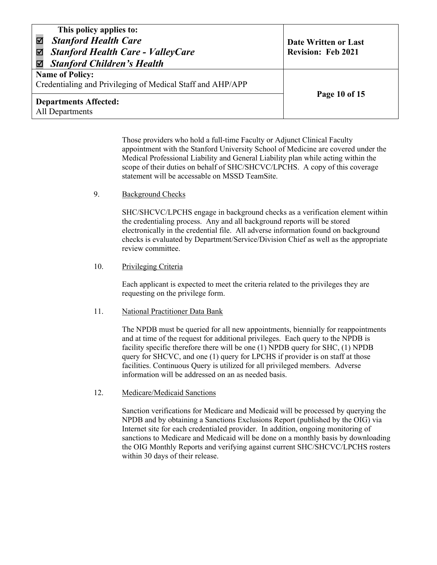| This policy applies to:<br><b>Stanford Health Care</b><br><b>Stanford Health Care - ValleyCare</b><br>$\blacktriangledown$<br><b>Stanford Children's Health</b> | Date Written or Last<br><b>Revision: Feb 2021</b> |
|-----------------------------------------------------------------------------------------------------------------------------------------------------------------|---------------------------------------------------|
| <b>Name of Policy:</b><br>Credentialing and Privileging of Medical Staff and AHP/APP                                                                            |                                                   |
| <b>Departments Affected:</b><br>All Departments                                                                                                                 | Page 10 of 15                                     |

Those providers who hold a full-time Faculty or Adjunct Clinical Faculty appointment with the Stanford University School of Medicine are covered under the Medical Professional Liability and General Liability plan while acting within the scope of their duties on behalf of SHC/SHCVC/LPCHS. A copy of this coverage statement will be accessable on MSSD TeamSite.

9. Background Checks

SHC/SHCVC/LPCHS engage in background checks as a verification element within the credentialing process. Any and all background reports will be stored electronically in the credential file. All adverse information found on background checks is evaluated by Department/Service/Division Chief as well as the appropriate review committee.

#### 10. Privileging Criteria

Each applicant is expected to meet the criteria related to the privileges they are requesting on the privilege form.

#### 11. National Practitioner Data Bank

The NPDB must be queried for all new appointments, biennially for reappointments and at time of the request for additional privileges. Each query to the NPDB is facility specific therefore there will be one (1) NPDB query for SHC, (1) NPDB query for SHCVC, and one (1) query for LPCHS if provider is on staff at those facilities. Continuous Query is utilized for all privileged members. Adverse information will be addressed on an as needed basis.

12. Medicare/Medicaid Sanctions

Sanction verifications for Medicare and Medicaid will be processed by querying the NPDB and by obtaining a Sanctions Exclusions Report (published by the OIG) via Internet site for each credentialed provider. In addition, ongoing monitoring of sanctions to Medicare and Medicaid will be done on a monthly basis by downloading the OIG Monthly Reports and verifying against current SHC/SHCVC/LPCHS rosters within 30 days of their release.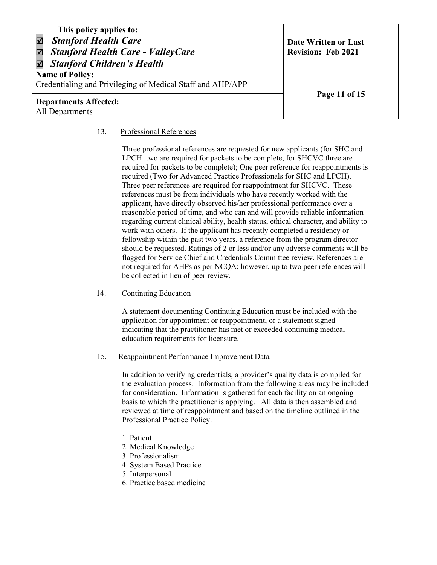| This policy applies to:<br><b>Stanford Health Care</b><br><b>Stanford Health Care - ValleyCare</b><br>✔<br><b>Stanford Children's Health</b><br>M | Date Written or Last<br><b>Revision: Feb 2021</b> |
|---------------------------------------------------------------------------------------------------------------------------------------------------|---------------------------------------------------|
| <b>Name of Policy:</b><br>Credentialing and Privileging of Medical Staff and AHP/APP                                                              |                                                   |
| <b>Departments Affected:</b><br>All Departments                                                                                                   | Page 11 of 15                                     |

#### 13. Professional References

Three professional references are requested for new applicants (for SHC and LPCH two are required for packets to be complete, for SHCVC three are required for packets to be complete); One peer reference for reappointments is required (Two for Advanced Practice Professionals for SHC and LPCH). Three peer references are required for reappointment for SHCVC. These references must be from individuals who have recently worked with the applicant, have directly observed his/her professional performance over a reasonable period of time, and who can and will provide reliable information regarding current clinical ability, health status, ethical character, and ability to work with others. If the applicant has recently completed a residency or fellowship within the past two years, a reference from the program director should be requested. Ratings of 2 or less and/or any adverse comments will be flagged for Service Chief and Credentials Committee review. References are not required for AHPs as per NCQA; however, up to two peer references will be collected in lieu of peer review.

#### 14. Continuing Education

A statement documenting Continuing Education must be included with the application for appointment or reappointment, or a statement signed indicating that the practitioner has met or exceeded continuing medical education requirements for licensure.

#### 15. Reappointment Performance Improvement Data

In addition to verifying credentials, a provider's quality data is compiled for the evaluation process. Information from the following areas may be included for consideration. Information is gathered for each facility on an ongoing basis to which the practitioner is applying. All data is then assembled and reviewed at time of reappointment and based on the timeline outlined in the Professional Practice Policy.

- 1. Patient
- 2. Medical Knowledge
- 3. Professionalism
- 4. System Based Practice
- 5. Interpersonal
- 6. Practice based medicine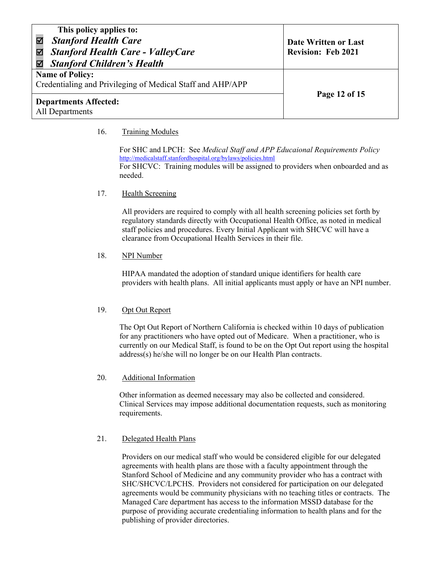| This policy applies to:<br><b>Stanford Health Care</b><br><b>Stanford Health Care - ValleyCare</b><br><b>Stanford Children's Health</b> | Date Written or Last<br><b>Revision: Feb 2021</b> |
|-----------------------------------------------------------------------------------------------------------------------------------------|---------------------------------------------------|
| <b>Name of Policy:</b><br>Credentialing and Privileging of Medical Staff and AHP/APP                                                    |                                                   |
| <b>Departments Affected:</b><br>All Departments                                                                                         | Page 12 of 15                                     |

#### 16. Training Modules

For SHC and LPCH: See *Medical Staff and APP Educaional Requirements Policy* http://medicalstaff.stanfordhospital.org/bylaws/policies.html For SHCVC: Training modules will be assigned to providers when onboarded and as needed.

#### 17. Health Screening

All providers are required to comply with all health screening policies set forth by regulatory standards directly with Occupational Health Office, as noted in medical staff policies and procedures. Every Initial Applicant with SHCVC will have a clearance from Occupational Health Services in their file.

#### 18. NPI Number

HIPAA mandated the adoption of standard unique identifiers for health care providers with health plans. All initial applicants must apply or have an NPI number.

#### 19. Opt Out Report

The Opt Out Report of Northern California is checked within 10 days of publication for any practitioners who have opted out of Medicare. When a practitioner, who is currently on our Medical Staff, is found to be on the Opt Out report using the hospital address(s) he/she will no longer be on our Health Plan contracts.

#### 20. Additional Information

Other information as deemed necessary may also be collected and considered. Clinical Services may impose additional documentation requests, such as monitoring requirements.

## 21. Delegated Health Plans

Providers on our medical staff who would be considered eligible for our delegated agreements with health plans are those with a faculty appointment through the Stanford School of Medicine and any community provider who has a contract with SHC/SHCVC/LPCHS. Providers not considered for participation on our delegated agreements would be community physicians with no teaching titles or contracts. The Managed Care department has access to the information MSSD database for the purpose of providing accurate credentialing information to health plans and for the publishing of provider directories.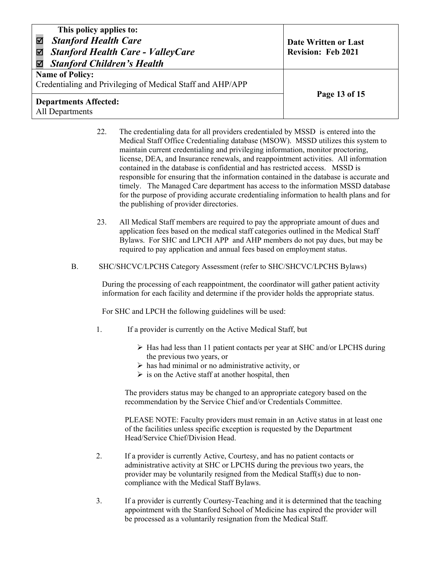| This policy applies to:<br><b>Stanford Health Care</b><br><b>Stanford Health Care - ValleyCare</b><br>$\blacktriangledown$<br><b>Stanford Children's Health</b><br>М | Date Written or Last<br><b>Revision: Feb 2021</b> |
|----------------------------------------------------------------------------------------------------------------------------------------------------------------------|---------------------------------------------------|
| <b>Name of Policy:</b><br>Credentialing and Privileging of Medical Staff and AHP/APP                                                                                 |                                                   |
| <b>Departments Affected:</b><br>All Departments                                                                                                                      | Page 13 of 15                                     |

- 22. The credentialing data for all providers credentialed by MSSD is entered into the Medical Staff Office Credentialing database (MSOW). MSSD utilizes this system to maintain current credentialing and privileging information, monitor proctoring, license, DEA, and Insurance renewals, and reappointment activities. All information contained in the database is confidential and has restricted access. MSSD is responsible for ensuring that the information contained in the database is accurate and timely. The Managed Care department has access to the information MSSD database for the purpose of providing accurate credentialing information to health plans and for the publishing of provider directories.
- 23. All Medical Staff members are required to pay the appropriate amount of dues and application fees based on the medical staff categories outlined in the Medical Staff Bylaws. For SHC and LPCH APP and AHP members do not pay dues, but may be required to pay application and annual fees based on employment status.
- B. SHC/SHCVC/LPCHS Category Assessment (refer to SHC/SHCVC/LPCHS Bylaws)

During the processing of each reappointment, the coordinator will gather patient activity information for each facility and determine if the provider holds the appropriate status.

For SHC and LPCH the following guidelines will be used:

- 1. If a provider is currently on the Active Medical Staff, but
	- $\triangleright$  Has had less than 11 patient contacts per year at SHC and/or LPCHS during the previous two years, or
	- $\triangleright$  has had minimal or no administrative activity, or
	- $\triangleright$  is on the Active staff at another hospital, then

The providers status may be changed to an appropriate category based on the recommendation by the Service Chief and/or Credentials Committee.

PLEASE NOTE: Faculty providers must remain in an Active status in at least one of the facilities unless specific exception is requested by the Department Head/Service Chief/Division Head.

- 2. If a provider is currently Active, Courtesy, and has no patient contacts or administrative activity at SHC or LPCHS during the previous two years, the provider may be voluntarily resigned from the Medical Staff(s) due to noncompliance with the Medical Staff Bylaws.
- 3. If a provider is currently Courtesy-Teaching and it is determined that the teaching appointment with the Stanford School of Medicine has expired the provider will be processed as a voluntarily resignation from the Medical Staff.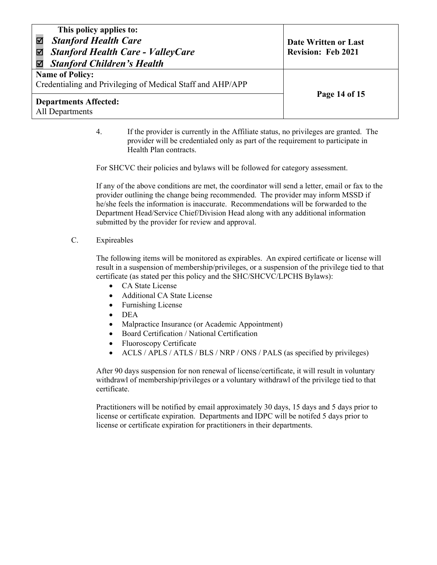| This policy applies to:<br><b>Stanford Health Care</b><br><b>Stanford Health Care - ValleyCare</b><br>M<br><b>Stanford Children's Health</b><br>☑ | Date Written or Last<br><b>Revision: Feb 2021</b> |
|---------------------------------------------------------------------------------------------------------------------------------------------------|---------------------------------------------------|
| <b>Name of Policy:</b><br>Credentialing and Privileging of Medical Staff and AHP/APP                                                              | Page 14 of 15                                     |
| <b>Departments Affected:</b><br>All Departments                                                                                                   |                                                   |

4. If the provider is currently in the Affiliate status, no privileges are granted. The provider will be credentialed only as part of the requirement to participate in Health Plan contracts.

For SHCVC their policies and bylaws will be followed for category assessment.

If any of the above conditions are met, the coordinator will send a letter, email or fax to the provider outlining the change being recommended. The provider may inform MSSD if he/she feels the information is inaccurate. Recommendations will be forwarded to the Department Head/Service Chief/Division Head along with any additional information submitted by the provider for review and approval.

C. Expireables

The following items will be monitored as expirables. An expired certificate or license will result in a suspension of membership/privileges, or a suspension of the privilege tied to that certificate (as stated per this policy and the SHC/SHCVC/LPCHS Bylaws):

- CA State License
- Additional CA State License
- Furnishing License
- DEA
- Malpractice Insurance (or Academic Appointment)
- Board Certification / National Certification
- Fluoroscopy Certificate
- ACLS / APLS / ATLS / BLS / NRP / ONS / PALS (as specified by privileges)

After 90 days suspension for non renewal of license/certificate, it will result in voluntary withdrawl of membership/privileges or a voluntary withdrawl of the privilege tied to that certificate.

Practitioners will be notified by email approximately 30 days, 15 days and 5 days prior to license or certificate expiration. Departments and IDPC will be notifed 5 days prior to license or certificate expiration for practitioners in their departments.